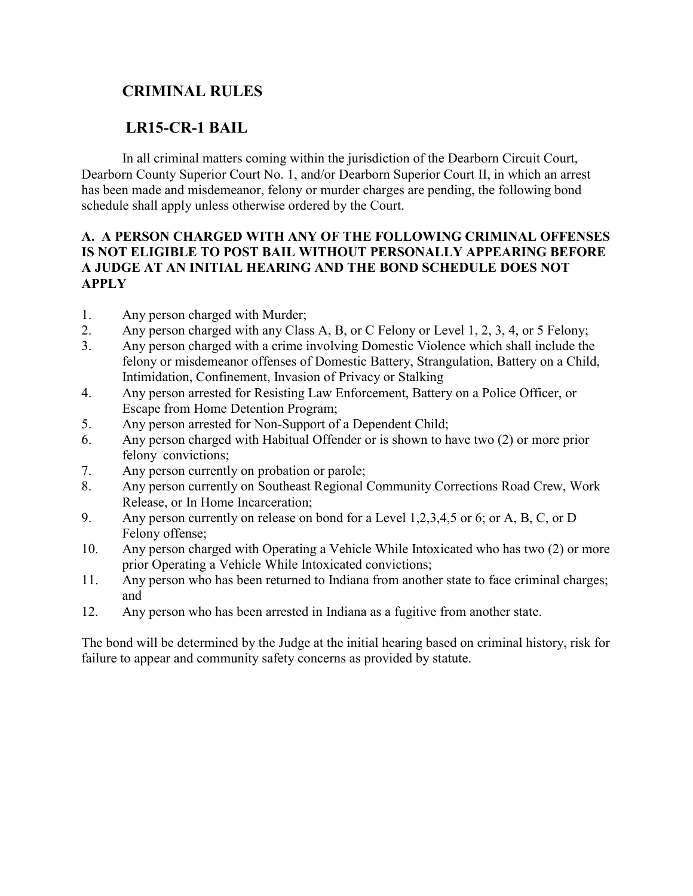# **CRIMINAL RULES**

## **LR15-CR-1 BAIL**

In all criminal matters coming within the jurisdiction of the Dearborn Circuit Court, Dearborn County Superior Court No. 1, and/or Dearborn Superior Court II, in which an arrest has been made and misdemeanor, felony or murder charges are pending, the following bond schedule shall apply unless otherwise ordered by the Court.

#### **A. A PERSON CHARGED WITH ANY OF THE FOLLOWING CRIMINAL OFFENSES IS NOT ELIGIBLE TO POST BAIL WITHOUT PERSONALLY APPEARING BEFORE A JUDGE AT AN INITIAL HEARING AND THE BOND SCHEDULE DOES NOT APPLY**

- 1. Any person charged with Murder;
- 2. Any person charged with any Class A, B, or C Felony or Level 1, 2, 3, 4, or 5 Felony;
- 3. Any person charged with a crime involving Domestic Violence which shall include the felony or misdemeanor offenses of Domestic Battery, Strangulation, Battery on a Child, Intimidation, Confinement, Invasion of Privacy or Stalking
- 4. Any person arrested for Resisting Law Enforcement, Battery on a Police Officer, or Escape from Home Detention Program;
- 5. Any person arrested for Non-Support of a Dependent Child;
- 6. Any person charged with Habitual Offender or is shown to have two (2) or more prior felony convictions;
- 7. Any person currently on probation or parole;
- 8. Any person currently on Southeast Regional Community Corrections Road Crew, Work Release, or In Home Incarceration;
- 9. Any person currently on release on bond for a Level 1,2,3,4,5 or 6; or A, B, C, or D Felony offense;
- 10. Any person charged with Operating a Vehicle While Intoxicated who has two (2) or more prior Operating a Vehicle While Intoxicated convictions;
- 11. Any person who has been returned to Indiana from another state to face criminal charges; and
- 12. Any person who has been arrested in Indiana as a fugitive from another state.

The bond will be determined by the Judge at the initial hearing based on criminal history, risk for failure to appear and community safety concerns as provided by statute.